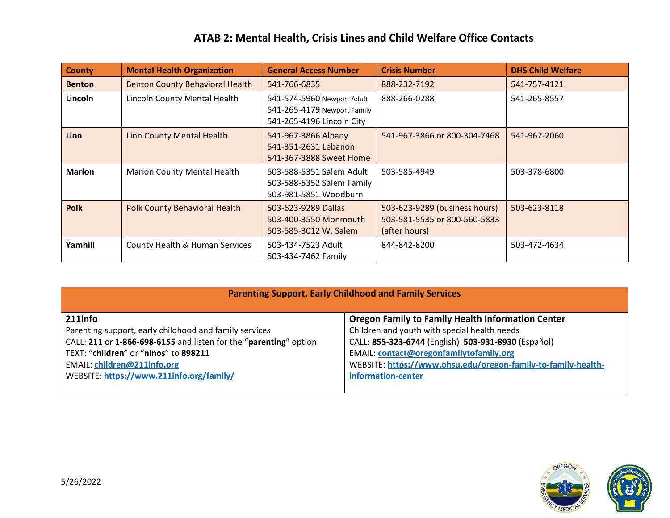## **ATAB 2: Mental Health, Crisis Lines and Child Welfare Office Contacts**

| <b>County</b> | <b>Mental Health Organization</b>      | <b>General Access Number</b>                                                           | <b>Crisis Number</b>                                                           | <b>DHS Child Welfare</b> |
|---------------|----------------------------------------|----------------------------------------------------------------------------------------|--------------------------------------------------------------------------------|--------------------------|
| <b>Benton</b> | <b>Benton County Behavioral Health</b> | 541-766-6835                                                                           | 888-232-7192                                                                   | 541-757-4121             |
| Lincoln       | Lincoln County Mental Health           | 541-574-5960 Newport Adult<br>541-265-4179 Newport Family<br>541-265-4196 Lincoln City | 888-266-0288                                                                   | 541-265-8557             |
| Linn          | <b>Linn County Mental Health</b>       | 541-967-3866 Albany<br>541-351-2631 Lebanon<br>541-367-3888 Sweet Home                 | 541-967-3866 or 800-304-7468                                                   | 541-967-2060             |
| <b>Marion</b> | <b>Marion County Mental Health</b>     | 503-588-5351 Salem Adult<br>503-588-5352 Salem Family<br>503-981-5851 Woodburn         | 503-585-4949                                                                   | 503-378-6800             |
| <b>Polk</b>   | <b>Polk County Behavioral Health</b>   | 503-623-9289 Dallas<br>503-400-3550 Monmouth<br>503-585-3012 W. Salem                  | 503-623-9289 (business hours)<br>503-581-5535 or 800-560-5833<br>(after hours) | 503-623-8118             |
| Yamhill       | County Health & Human Services         | 503-434-7523 Adult<br>503-434-7462 Family                                              | 844-842-8200                                                                   | 503-472-4634             |

| <b>Parenting Support, Early Childhood and Family Services</b>     |                                                               |  |  |  |
|-------------------------------------------------------------------|---------------------------------------------------------------|--|--|--|
| 211info                                                           | <b>Oregon Family to Family Health Information Center</b>      |  |  |  |
| Parenting support, early childhood and family services            | Children and youth with special health needs                  |  |  |  |
| CALL: 211 or 1-866-698-6155 and listen for the "parenting" option | CALL: 855-323-6744 (English) 503-931-8930 (Español)           |  |  |  |
| TEXT: "children" or "ninos" to 898211                             | <b>EMAIL: contact@oregonfamilytofamily.org</b>                |  |  |  |
| <b>EMAIL: children@211info.org</b>                                | WEBSITE: https://www.ohsu.edu/oregon-family-to-family-health- |  |  |  |
| WEBSITE: https://www.211info.org/family/                          | information-center                                            |  |  |  |
|                                                                   |                                                               |  |  |  |